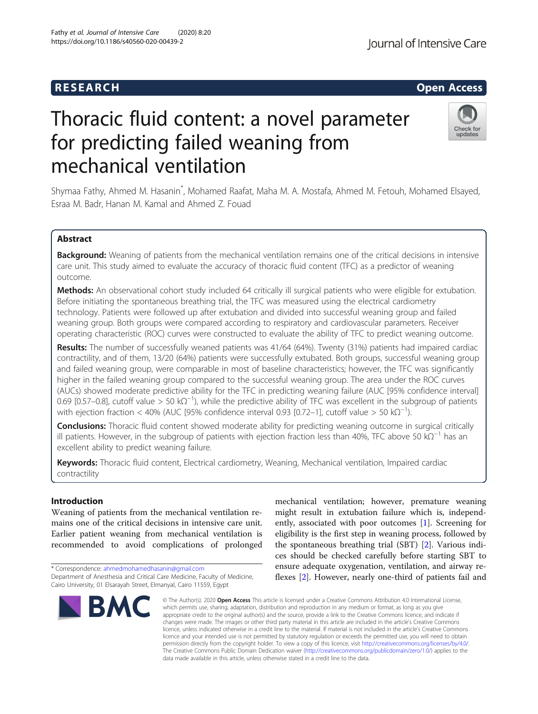# **RESEARCH CHILD CONTROL** CONTROL CONTROL CONTROL CONTROL CONTROL CONTROL CONTROL CONTROL CONTROL CONTROL CONTROL CONTROL CONTROL CONTROL CONTROL CONTROL CONTROL CONTROL CONTROL CONTROL CONTROL CONTROL CONTROL CONTROL CONTR

# Thoracic fluid content: a novel parameter for predicting failed weaning from mechanical ventilation



Shymaa Fathy, Ahmed M. Hasanin\* , Mohamed Raafat, Maha M. A. Mostafa, Ahmed M. Fetouh, Mohamed Elsayed, Esraa M. Badr, Hanan M. Kamal and Ahmed Z. Fouad

## Abstract

Background: Weaning of patients from the mechanical ventilation remains one of the critical decisions in intensive care unit. This study aimed to evaluate the accuracy of thoracic fluid content (TFC) as a predictor of weaning outcome.

Methods: An observational cohort study included 64 critically ill surgical patients who were eligible for extubation. Before initiating the spontaneous breathing trial, the TFC was measured using the electrical cardiometry technology. Patients were followed up after extubation and divided into successful weaning group and failed weaning group. Both groups were compared according to respiratory and cardiovascular parameters. Receiver operating characteristic (ROC) curves were constructed to evaluate the ability of TFC to predict weaning outcome.

Results: The number of successfully weaned patients was 41/64 (64%). Twenty (31%) patients had impaired cardiac contractility, and of them, 13/20 (64%) patients were successfully extubated. Both groups, successful weaning group and failed weaning group, were comparable in most of baseline characteristics; however, the TFC was significantly higher in the failed weaning group compared to the successful weaning group. The area under the ROC curves (AUCs) showed moderate predictive ability for the TFC in predicting weaning failure (AUC [95% confidence interval] 0.69 [0.57–0.8], cutoff value > 50 kΩ<sup>-1</sup>), while the predictive ability of TFC was excellent in the subgroup of patients with ejection fraction < 40% (AUC [95% confidence interval 0.93 [0.72–1], cutoff value > 50 k $\Omega^{-1}$ ).

**Conclusions:** Thoracic fluid content showed moderate ability for predicting weaning outcome in surgical critically ill patients. However, in the subgroup of patients with ejection fraction less than 40%, TFC above 50 kΩ<sup>−1</sup> has an excellent ability to predict weaning failure.

Keywords: Thoracic fluid content, Electrical cardiometry, Weaning, Mechanical ventilation, Impaired cardiac contractility

### Introduction

Weaning of patients from the mechanical ventilation remains one of the critical decisions in intensive care unit. Earlier patient weaning from mechanical ventilation is recommended to avoid complications of prolonged

Cairo University, 01 Elsarayah Street, Elmanyal, Cairo 11559, Egypt



mechanical ventilation; however, premature weaning might result in extubation failure which is, independently, associated with poor outcomes [\[1](#page-5-0)]. Screening for eligibility is the first step in weaning process, followed by the spontaneous breathing trial (SBT) [[2\]](#page-5-0). Various indices should be checked carefully before starting SBT to ensure adequate oxygenation, ventilation, and airway reflexes [\[2](#page-5-0)]. However, nearly one-third of patients fail and

© The Author(s), 2020 **Open Access** This article is licensed under a Creative Commons Attribution 4.0 International License, which permits use, sharing, adaptation, distribution and reproduction in any medium or format, as long as you give appropriate credit to the original author(s) and the source, provide a link to the Creative Commons licence, and indicate if changes were made. The images or other third party material in this article are included in the article's Creative Commons licence, unless indicated otherwise in a credit line to the material. If material is not included in the article's Creative Commons licence and your intended use is not permitted by statutory regulation or exceeds the permitted use, you will need to obtain permission directly from the copyright holder. To view a copy of this licence, visit [http://creativecommons.org/licenses/by/4.0/.](http://creativecommons.org/licenses/by/4.0/) The Creative Commons Public Domain Dedication waiver [\(http://creativecommons.org/publicdomain/zero/1.0/](http://creativecommons.org/publicdomain/zero/1.0/)) applies to the data made available in this article, unless otherwise stated in a credit line to the data.

<sup>\*</sup> Correspondence: [ahmedmohamedhasanin@gmail.com](mailto:ahmedmohamedhasanin@gmail.com) Department of Anesthesia and Critical Care Medicine, Faculty of Medicine,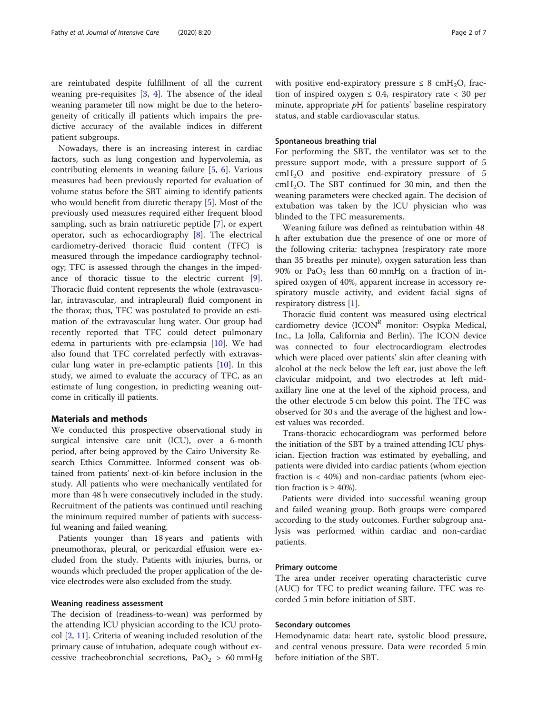are reintubated despite fulfillment of all the current weaning pre-requisites [\[3](#page-6-0), [4\]](#page-6-0). The absence of the ideal weaning parameter till now might be due to the heterogeneity of critically ill patients which impairs the predictive accuracy of the available indices in different patient subgroups.

Nowadays, there is an increasing interest in cardiac factors, such as lung congestion and hypervolemia, as contributing elements in weaning failure [[5,](#page-6-0) [6\]](#page-6-0). Various measures had been previously reported for evaluation of volume status before the SBT aiming to identify patients who would benefit from diuretic therapy [\[5](#page-6-0)]. Most of the previously used measures required either frequent blood sampling, such as brain natriuretic peptide [\[7](#page-6-0)], or expert operator, such as echocardiography [\[8\]](#page-6-0). The electrical cardiometry-derived thoracic fluid content (TFC) is measured through the impedance cardiography technology; TFC is assessed through the changes in the impedance of thoracic tissue to the electric current [\[9](#page-6-0)]. Thoracic fluid content represents the whole (extravascular, intravascular, and intrapleural) fluid component in the thorax; thus, TFC was postulated to provide an estimation of the extravascular lung water. Our group had recently reported that TFC could detect pulmonary edema in parturients with pre-eclampsia [[10\]](#page-6-0). We had also found that TFC correlated perfectly with extravascular lung water in pre-eclamptic patients [\[10\]](#page-6-0). In this study, we aimed to evaluate the accuracy of TFC, as an estimate of lung congestion, in predicting weaning outcome in critically ill patients.

#### Materials and methods

We conducted this prospective observational study in surgical intensive care unit (ICU), over a 6-month period, after being approved by the Cairo University Research Ethics Committee. Informed consent was obtained from patients' next-of-kin before inclusion in the study. All patients who were mechanically ventilated for more than 48 h were consecutively included in the study. Recruitment of the patients was continued until reaching the minimum required number of patients with successful weaning and failed weaning.

Patients younger than 18 years and patients with pneumothorax, pleural, or pericardial effusion were excluded from the study. Patients with injuries, burns, or wounds which precluded the proper application of the device electrodes were also excluded from the study.

#### Weaning readiness assessment

The decision of (readiness-to-wean) was performed by the attending ICU physician according to the ICU protocol [[2,](#page-5-0) [11\]](#page-6-0). Criteria of weaning included resolution of the primary cause of intubation, adequate cough without excessive tracheobronchial secretions,  $PaO<sub>2</sub> > 60$  mmHg

#### Spontaneous breathing trial

status, and stable cardiovascular status.

For performing the SBT, the ventilator was set to the pressure support mode, with a pressure support of 5 cmH2O and positive end-expiratory pressure of 5  $cmH<sub>2</sub>O$ . The SBT continued for 30 min, and then the weaning parameters were checked again. The decision of extubation was taken by the ICU physician who was blinded to the TFC measurements.

Weaning failure was defined as reintubation within 48 h after extubation due the presence of one or more of the following criteria: tachypnea (respiratory rate more than 35 breaths per minute), oxygen saturation less than 90% or  $PaO<sub>2</sub>$  less than 60 mmHg on a fraction of inspired oxygen of 40%, apparent increase in accessory respiratory muscle activity, and evident facial signs of respiratory distress [\[1](#page-5-0)].

Thoracic fluid content was measured using electrical cardiometry device  $(ICON<sup>R</sup>$  monitor: Osypka Medical, Inc., La Jolla, California and Berlin). The ICON device was connected to four electrocardiogram electrodes which were placed over patients' skin after cleaning with alcohol at the neck below the left ear, just above the left clavicular midpoint, and two electrodes at left midaxillary line one at the level of the xiphoid process, and the other electrode 5 cm below this point. The TFC was observed for 30 s and the average of the highest and lowest values was recorded.

Trans-thoracic echocardiogram was performed before the initiation of the SBT by a trained attending ICU physician. Ejection fraction was estimated by eyeballing, and patients were divided into cardiac patients (whom ejection fraction is < 40%) and non-cardiac patients (whom ejection fraction is  $\geq 40\%$ ).

Patients were divided into successful weaning group and failed weaning group. Both groups were compared according to the study outcomes. Further subgroup analysis was performed within cardiac and non-cardiac patients.

#### Primary outcome

The area under receiver operating characteristic curve (AUC) for TFC to predict weaning failure. TFC was recorded 5 min before initiation of SBT.

#### Secondary outcomes

Hemodynamic data: heart rate, systolic blood pressure, and central venous pressure. Data were recorded 5 min before initiation of the SBT.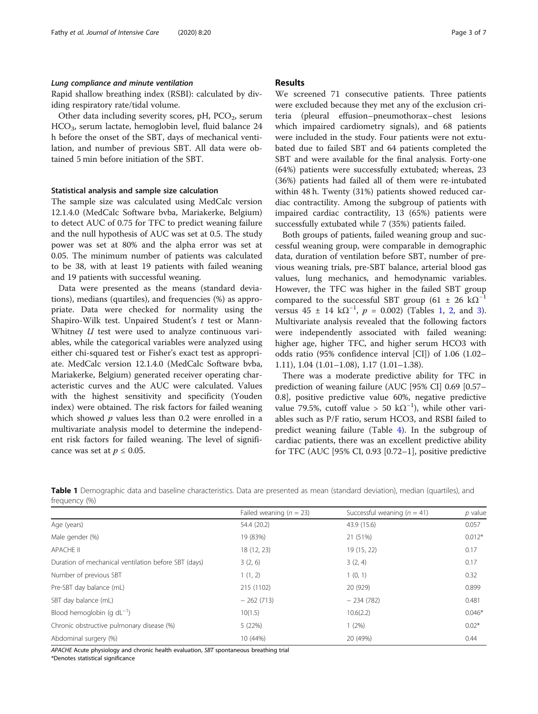#### Lung compliance and minute ventilation

Rapid shallow breathing index (RSBI): calculated by dividing respiratory rate/tidal volume.

Other data including severity scores,  $pH$ ,  $PCO<sub>2</sub>$ , serum HCO3, serum lactate, hemoglobin level, fluid balance 24 h before the onset of the SBT, days of mechanical ventilation, and number of previous SBT. All data were obtained 5 min before initiation of the SBT.

#### Statistical analysis and sample size calculation

The sample size was calculated using MedCalc version 12.1.4.0 (MedCalc Software bvba, Mariakerke, Belgium) to detect AUC of 0.75 for TFC to predict weaning failure and the null hypothesis of AUC was set at 0.5. The study power was set at 80% and the alpha error was set at 0.05. The minimum number of patients was calculated to be 38, with at least 19 patients with failed weaning and 19 patients with successful weaning.

Data were presented as the means (standard deviations), medians (quartiles), and frequencies (%) as appropriate. Data were checked for normality using the Shapiro-Wilk test. Unpaired Student's  $t$  test or Mann-Whitney  $U$  test were used to analyze continuous variables, while the categorical variables were analyzed using either chi-squared test or Fisher's exact test as appropriate. MedCalc version 12.1.4.0 (MedCalc Software bvba, Mariakerke, Belgium) generated receiver operating characteristic curves and the AUC were calculated. Values with the highest sensitivity and specificity (Youden index) were obtained. The risk factors for failed weaning which showed  $p$  values less than 0.2 were enrolled in a multivariate analysis model to determine the independent risk factors for failed weaning. The level of significance was set at  $p \leq 0.05$ .

#### Results

We screened 71 consecutive patients. Three patients were excluded because they met any of the exclusion criteria (pleural effusion–pneumothorax–chest lesions which impaired cardiometry signals), and 68 patients were included in the study. Four patients were not extubated due to failed SBT and 64 patients completed the SBT and were available for the final analysis. Forty-one (64%) patients were successfully extubated; whereas, 23 (36%) patients had failed all of them were re-intubated within 48 h. Twenty (31%) patients showed reduced cardiac contractility. Among the subgroup of patients with impaired cardiac contractility, 13 (65%) patients were successfully extubated while 7 (35%) patients failed.

Both groups of patients, failed weaning group and successful weaning group, were comparable in demographic data, duration of ventilation before SBT, number of previous weaning trials, pre-SBT balance, arterial blood gas values, lung mechanics, and hemodynamic variables. However, the TFC was higher in the failed SBT group compared to the successful SBT group (61 ± 26 k $\Omega^{-1}$ ) versus 45 ± 14 k $\Omega^{-1}$ ,  $p = 0.002$  $p = 0.002$ ) (Tables 1, 2, and [3](#page-3-0)). Multivariate analysis revealed that the following factors were independently associated with failed weaning: higher age, higher TFC, and higher serum HCO3 with odds ratio (95% confidence interval [CI]) of 1.06 (1.02– 1.11), 1.04 (1.01–1.08), 1.17 (1.01–1.38).

There was a moderate predictive ability for TFC in prediction of weaning failure (AUC [95% CI] 0.69 [0.57– 0.8], positive predictive value 60%, negative predictive value 79.5%, cutoff value > 50 k $\Omega^{-1}$ ), while other variables such as P/F ratio, serum HCO3, and RSBI failed to predict weaning failure (Table [4\)](#page-4-0). In the subgroup of cardiac patients, there was an excellent predictive ability for TFC (AUC [95% CI, 0.93 [0.72–1], positive predictive

Table 1 Demographic data and baseline characteristics. Data are presented as mean (standard deviation), median (quartiles), and frequency (%)

| Failed weaning ( $n = 23$ ) | Successful weaning ( $n = 41$ ) | $p$ value |
|-----------------------------|---------------------------------|-----------|
| 54.4 (20.2)                 | 43.9 (15.6)                     | 0.057     |
| 19 (83%)                    | 21 (51%)                        | $0.012*$  |
| 18 (12, 23)                 | 19 (15, 22)                     | 0.17      |
| 3(2, 6)                     | 3(2, 4)                         | 0.17      |
| 1(1, 2)                     | 1(0, 1)                         | 0.32      |
| 215 (1102)                  | 20 (929)                        | 0.899     |
| $-262(713)$                 | $-234(782)$                     | 0.481     |
| 10(1.5)                     | 10.6(2.2)                       | $0.046*$  |
| 5 (22%)                     | $1(2\%)$                        | $0.02*$   |
| 10 (44%)                    | 20 (49%)                        | 0.44      |
|                             |                                 |           |

APACHE Acute physiology and chronic health evaluation, SBT spontaneous breathing trial

\*Denotes statistical significance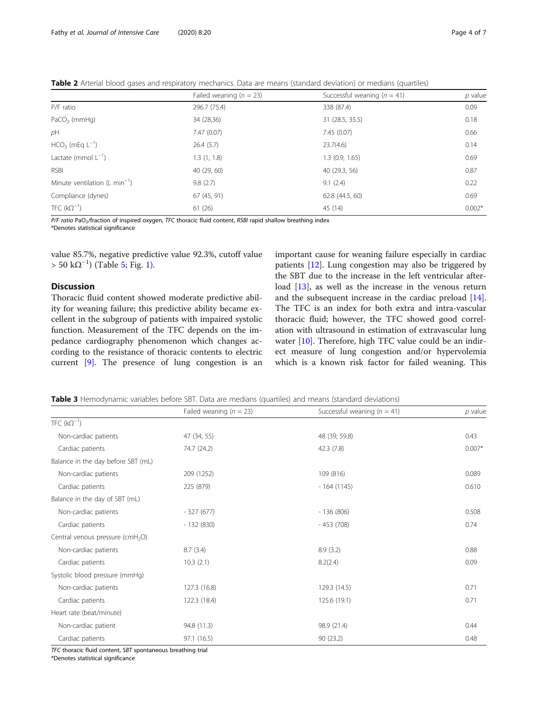<span id="page-3-0"></span>Table 2 Arterial blood gases and respiratory mechanics. Data are means (standard deviation) or medians (quartiles)

|                                           | Failed weaning ( $n = 23$ ) | Successful weaning $(n = 41)$ | $p$ value |
|-------------------------------------------|-----------------------------|-------------------------------|-----------|
| P/F ratio                                 | 296.7 (75.4)                | 338 (87.4)                    | 0.09      |
| $PaCO2$ (mmHg)                            | 34 (28,36)                  | 31 (28.5, 35.5)               | 0.18      |
| pH                                        | 7.47(0.07)                  | 7.45(0.07)                    | 0.66      |
| $HCO3$ (mEq $L^{-1}$ )                    | 26.4(5.7)                   | 23.7(4.6)                     | 0.14      |
| Lactate (mmol $L^{-1}$ )                  | 1.3(1, 1.8)                 | 1.3(0.9, 1.65)                | 0.69      |
| <b>RSBI</b>                               | 40(29, 60)                  | 40 (29.3, 56)                 | 0.87      |
| Minute ventilation $(L \text{ min}^{-1})$ | 9.8(2.7)                    | 9.1(2.4)                      | 0.22      |
| Compliance (dynes)                        | 67 (45, 91)                 | 62.8 (44.5, 60)               | 0.69      |
| TFC $(k\Omega^{-1})$                      | 61(26)                      | 45 (14)                       | $0.002*$  |

P/F ratio PaO<sub>2</sub>/fraction of inspired oxygen, TFC thoracic fluid content, RSBI rapid shallow breathing index

\*Denotes statistical significance

value 85.7%, negative predictive value 92.3%, cutoff value  $> 50 \text{ k}\Omega^{-1}$  $> 50 \text{ k}\Omega^{-1}$  $> 50 \text{ k}\Omega^{-1}$ ) (Table [5;](#page-4-0) Fig. 1).

#### Discussion

Thoracic fluid content showed moderate predictive ability for weaning failure; this predictive ability became excellent in the subgroup of patients with impaired systolic function. Measurement of the TFC depends on the impedance cardiography phenomenon which changes according to the resistance of thoracic contents to electric current [\[9](#page-6-0)]. The presence of lung congestion is an

important cause for weaning failure especially in cardiac patients [[12\]](#page-6-0). Lung congestion may also be triggered by the SBT due to the increase in the left ventricular afterload [[13](#page-6-0)], as well as the increase in the venous return and the subsequent increase in the cardiac preload [\[14](#page-6-0)]. The TFC is an index for both extra and intra-vascular thoracic fluid; however, the TFC showed good correlation with ultrasound in estimation of extravascular lung water [[10](#page-6-0)]. Therefore, high TFC value could be an indirect measure of lung congestion and/or hypervolemia which is a known risk factor for failed weaning. This

Table 3 Hemodynamic variables before SBT. Data are medians (quartiles) and means (standard deviations)

|                                              | Failed weaning ( $n = 23$ ) | Successful weaning ( $n = 41$ ) | $p$ value |  |
|----------------------------------------------|-----------------------------|---------------------------------|-----------|--|
| TFC $(k\Omega^{-1})$                         |                             |                                 |           |  |
| Non-cardiac patients                         | 47 (34, 55)                 | 48 (39, 59.8)                   | 0.43      |  |
| Cardiac patients                             | 74.7 (24.2)                 | 42.3(7.8)                       | $0.007*$  |  |
| Balance in the day before SBT (mL)           |                             |                                 |           |  |
| Non-cardiac patients                         | 209 (1252)                  | 109 (816)                       | 0.089     |  |
| Cardiac patients                             | 225 (879)                   | $-164(1145)$                    | 0.610     |  |
| Balance in the day of SBT (mL)               |                             |                                 |           |  |
| Non-cardiac patients                         | $-327(677)$                 | $-136(806)$                     | 0.508     |  |
| Cardiac patients                             | $-132(830)$                 | $-453(708)$                     | 0.74      |  |
| Central venous pressure (cmH <sub>2</sub> O) |                             |                                 |           |  |
| Non-cardiac patients                         | 8.7(3.4)                    | 8.9(3.2)                        | 0.88      |  |
| Cardiac patients                             | 10.3(2.1)                   | 8.2(2.4)                        | 0.09      |  |
| Systolic blood pressure (mmHq)               |                             |                                 |           |  |
| Non-cardiac patients                         | 127.3 (16.8)                | 129.3 (14.5)                    | 0.71      |  |
| Cardiac patients                             | 122.3 (18.4)                | 125.6(19.1)                     | 0.71      |  |
| Heart rate (beat/minute)                     |                             |                                 |           |  |
| Non-cardiac patient                          | 94.8 (11.3)                 | 98.9 (21.4)                     | 0.44      |  |
| Cardiac patients                             | 97.1 (16.5)                 | 90(23.2)                        | 0.48      |  |

TFC thoracic fluid content, SBT spontaneous breathing trial

\*Denotes statistical significance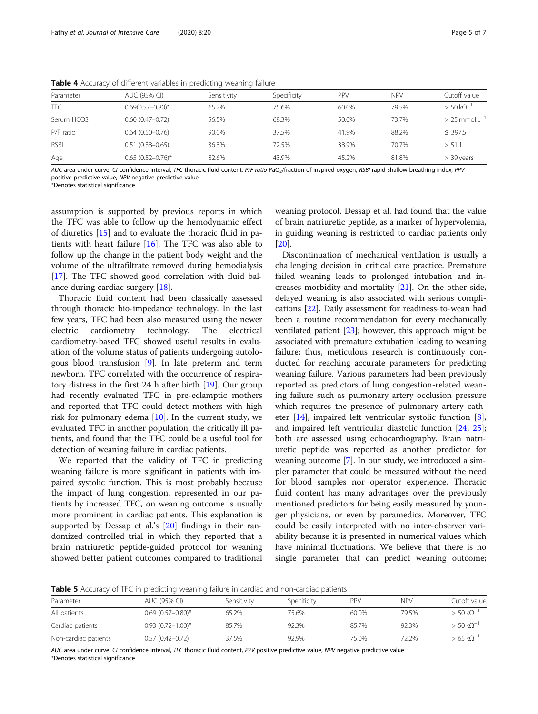| Parameter   | AUC (95% CI)             | Sensitivity | Specificity | <b>PPV</b> | <b>NPV</b> | Cutoff value                   |
|-------------|--------------------------|-------------|-------------|------------|------------|--------------------------------|
| <b>TFC</b>  | $0.69(0.57 - 0.80)^*$    | 65.2%       | 75.6%       | 60.0%      | 79.5%      | $> 50 \,\mathrm{k}\Omega^{-1}$ |
| Serum HCO3  | $0.60(0.47-0.72)$        | 56.5%       | 68.3%       | 50.0%      | 73.7%      | $> 25$ mmol. $L^{-1}$          |
| P/F ratio   | $0.64(0.50-0.76)$        | 90.0%       | 37.5%       | 41.9%      | 88.2%      | $\leq$ 397.5                   |
| <b>RSBI</b> | $0.51(0.38 - 0.65)$      | 36.8%       | 72.5%       | 38.9%      | 70.7%      | > 51.1                         |
| Age         | $0.65$ $(0.52 - 0.76)^*$ | 82.6%       | 43.9%       | 45.2%      | 81.8%      | $>$ 39 years                   |

<span id="page-4-0"></span>Table 4 Accuracy of different variables in predicting weaning failure

AUC area under curve, CI confidence interval, TFC thoracic fluid content, P/F ratio PaO<sub>2</sub>/fraction of inspired oxygen, RSBI rapid shallow breathing index, PPV positive predictive value, NPV negative predictive value

\*Denotes statistical significance

assumption is supported by previous reports in which the TFC was able to follow up the hemodynamic effect of diuretics [\[15](#page-6-0)] and to evaluate the thoracic fluid in patients with heart failure [\[16](#page-6-0)]. The TFC was also able to follow up the change in the patient body weight and the volume of the ultrafiltrate removed during hemodialysis [[17\]](#page-6-0). The TFC showed good correlation with fluid balance during cardiac surgery [\[18\]](#page-6-0).

Thoracic fluid content had been classically assessed through thoracic bio-impedance technology. In the last few years, TFC had been also measured using the newer electric cardiometry technology. The electrical cardiometry-based TFC showed useful results in evaluation of the volume status of patients undergoing autologous blood transfusion [\[9](#page-6-0)]. In late preterm and term newborn, TFC correlated with the occurrence of respiratory distress in the first 24 h after birth [[19\]](#page-6-0). Our group had recently evaluated TFC in pre-eclamptic mothers and reported that TFC could detect mothers with high risk for pulmonary edema  $[10]$ . In the current study, we evaluated TFC in another population, the critically ill patients, and found that the TFC could be a useful tool for detection of weaning failure in cardiac patients.

We reported that the validity of TFC in predicting weaning failure is more significant in patients with impaired systolic function. This is most probably because the impact of lung congestion, represented in our patients by increased TFC, on weaning outcome is usually more prominent in cardiac patients. This explanation is supported by Dessap et al.'s [\[20](#page-6-0)] findings in their randomized controlled trial in which they reported that a brain natriuretic peptide-guided protocol for weaning showed better patient outcomes compared to traditional weaning protocol. Dessap et al. had found that the value of brain natriuretic peptide, as a marker of hypervolemia, in guiding weaning is restricted to cardiac patients only [[20\]](#page-6-0).

Discontinuation of mechanical ventilation is usually a challenging decision in critical care practice. Premature failed weaning leads to prolonged intubation and increases morbidity and mortality [\[21](#page-6-0)]. On the other side, delayed weaning is also associated with serious complications [\[22\]](#page-6-0). Daily assessment for readiness-to-wean had been a routine recommendation for every mechanically ventilated patient [\[23\]](#page-6-0); however, this approach might be associated with premature extubation leading to weaning failure; thus, meticulous research is continuously conducted for reaching accurate parameters for predicting weaning failure. Various parameters had been previously reported as predictors of lung congestion-related weaning failure such as pulmonary artery occlusion pressure which requires the presence of pulmonary artery catheter [[14\]](#page-6-0), impaired left ventricular systolic function [\[8](#page-6-0)], and impaired left ventricular diastolic function [[24](#page-6-0), [25](#page-6-0)]; both are assessed using echocardiography. Brain natriuretic peptide was reported as another predictor for weaning outcome [\[7](#page-6-0)]. In our study, we introduced a simpler parameter that could be measured without the need for blood samples nor operator experience. Thoracic fluid content has many advantages over the previously mentioned predictors for being easily measured by younger physicians, or even by paramedics. Moreover, TFC could be easily interpreted with no inter-observer variability because it is presented in numerical values which have minimal fluctuations. We believe that there is no single parameter that can predict weaning outcome;

Table 5 Accuracy of TFC in predicting weaning failure in cardiac and non-cardiac patients

| Parameter            | AUC (95% CI)          | Sensitivity | Specificity | PPV   | <b>NPV</b> | Cutoff value                  |
|----------------------|-----------------------|-------------|-------------|-------|------------|-------------------------------|
| All patients         | $0.69(0.57-0.80)$ *   | 65.2%       | 75.6%       | 60.0% | 79.5%      | $> 50 k\Omega^{-1}$           |
| Cardiac patients     | $0.93(0.72 - 1.00)^*$ | 85.7%       | 92.3%       | 85.7% | 92.3%      | $> 50 kO^{-1}$                |
| Non-cardiac patients | $0.57(0.42 - 0.72)$   | 37.5%       | 92.9%       | 75.0% | 72.2%      | $>65$ k $\Omega$ <sup>-</sup> |

AUC area under curve, CI confidence interval, TFC thoracic fluid content, PPV positive predictive value, NPV negative predictive value \*Denotes statistical significance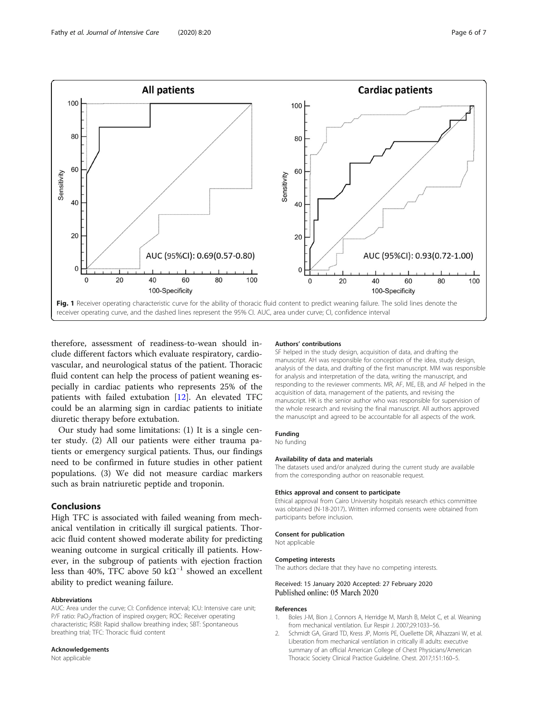<span id="page-5-0"></span>

therefore, assessment of readiness-to-wean should include different factors which evaluate respiratory, cardiovascular, and neurological status of the patient. Thoracic fluid content can help the process of patient weaning especially in cardiac patients who represents 25% of the patients with failed extubation [\[12\]](#page-6-0). An elevated TFC could be an alarming sign in cardiac patients to initiate diuretic therapy before extubation.

Our study had some limitations: (1) It is a single center study. (2) All our patients were either trauma patients or emergency surgical patients. Thus, our findings need to be confirmed in future studies in other patient populations. (3) We did not measure cardiac markers such as brain natriuretic peptide and troponin.

#### Conclusions

High TFC is associated with failed weaning from mechanical ventilation in critically ill surgical patients. Thoracic fluid content showed moderate ability for predicting weaning outcome in surgical critically ill patients. However, in the subgroup of patients with ejection fraction less than 40%, TFC above 50 k $\Omega^{-1}$  showed an excellent ability to predict weaning failure.

#### Abbreviations

AUC: Area under the curve; CI: Confidence interval; ICU: Intensive care unit; P/F ratio: PaO<sub>2</sub>/fraction of inspired oxygen; ROC: Receiver operating characteristic; RSBI: Rapid shallow breathing index; SBT: Spontaneous breathing trial; TFC: Thoracic fluid content

#### Acknowledgements

Not applicable

#### Authors' contributions

SF helped in the study design, acquisition of data, and drafting the manuscript. AH was responsible for conception of the idea, study design, analysis of the data, and drafting of the first manuscript. MM was responsible for analysis and interpretation of the data, writing the manuscript, and responding to the reviewer comments. MR, AF, ME, EB, and AF helped in the acquisition of data, management of the patients, and revising the manuscript. HK is the senior author who was responsible for supervision of the whole research and revising the final manuscript. All authors approved the manuscript and agreed to be accountable for all aspects of the work.

Funding

#### No funding

#### Availability of data and materials

The datasets used and/or analyzed during the current study are available from the corresponding author on reasonable request.

#### Ethics approval and consent to participate

Ethical approval from Cairo University hospitals research ethics committee was obtained (N-18-2017). Written informed consents were obtained from participants before inclusion.

#### Consent for publication

Not applicable

#### Competing interests

The authors declare that they have no competing interests.

#### Received: 15 January 2020 Accepted: 27 February 2020 Published online: 05 March 2020

#### References

- 1. Boles J-M, Bion J, Connors A, Herridge M, Marsh B, Melot C, et al. Weaning from mechanical ventilation. Eur Respir J. 2007;29:1033–56.
- 2. Schmidt GA, Girard TD, Kress JP, Morris PE, Ouellette DR, Alhazzani W, et al. Liberation from mechanical ventilation in critically ill adults: executive summary of an official American College of Chest Physicians/American Thoracic Society Clinical Practice Guideline. Chest. 2017;151:160–5.